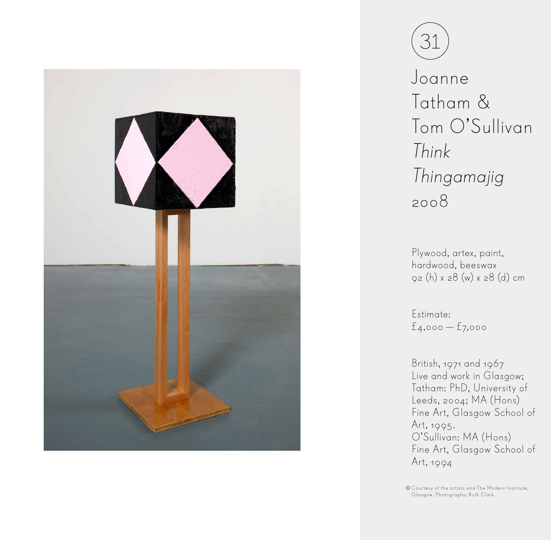



Joanne Tatham & Tom O'Sullivan Think Thingamajig 2008

Plywood, artex, paint, hardwood, beeswax 92 (h) x 28 (w) x 28 (d) cm

Estimate: £4,000 — £7,000

British, 1971 and 1967 Live and work in Glasgow; Tatham: PhD, University of Leeds, 2004; MA (Hons) Fine Art, Glasgow School of Art, 1995. O'Sullivan: MA (Hons) Fine Art, Glasgow School of Art, 1994

Courtesy of the artists and The Modern Institute, Glasgow. Photography: Ruth Clark